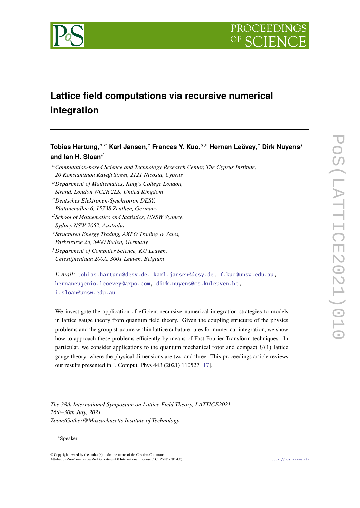



# **Lattice field computations via recursive numerical integration**

# **Tobias Hartung,**<sup>a,b</sup> Karl Jansen,<sup>*c*</sup> Frances Y. Kuo,<sup> $d,*$ </sup> Hernan Leövey,<sup>*e*</sup> Dirk Nuyens<sup>*f*</sup> **and Ian H. Sloan**

- *Computation-based Science and Technology Research Center, The Cyprus Institute, 20 Konstantinou Kavafi Street, 2121 Nicosia, Cyprus*
- *Department of Mathematics, King's College London, Strand, London WC2R 2LS, United Kingdom*
- *Deutsches Elektronen-Synchrotron DESY, Platanenallee 6, 15738 Zeuthen, Germany*
- *School of Mathematics and Statistics, UNSW Sydney, Sydney NSW 2052, Australia*
- *Structured Energy Trading, AXPO Trading & Sales, Parkstrasse 23, 5400 Baden, Germany*
- *Department of Computer Science, KU Leuven, Celestijnenlaan 200A, 3001 Leuven, Belgium*

```
E-mail: tobias.hartung@desy.de, karl.jansen@desy.de, f.kuo@unsw.edu.au,
hernaneugenio.leoevey@axpo.com, dirk.nuyens@cs.kuleuven.be,
i.sloan@unsw.edu.au
```
We investigate the application of efficient recursive numerical integration strategies to models in lattice gauge theory from quantum field theory. Given the coupling structure of the physics problems and the group structure within lattice cubature rules for numerical integration, we show how to approach these problems efficiently by means of Fast Fourier Transform techniques. In particular, we consider applications to the quantum mechanical rotor and compact  $U(1)$  lattice gauge theory, where the physical dimensions are two and three. This proceedings article reviews our results presented in J. Comput. Phys 443 (2021) 110527 [\[17\]](#page-13-0).

*The 38th International Symposium on Lattice Field Theory, LATTICE2021 26th–30th July, 2021 Zoom/Gather@Massachusetts Institute of Technology*

# <sup>∗</sup>Speaker

 $\odot$  Copyright owned by the author(s) under the terms of the Creative Common Attribution-NonCommercial-NoDerivatives 4.0 International License (CC BY-NC-ND 4.0). <https://pos.sissa.it/>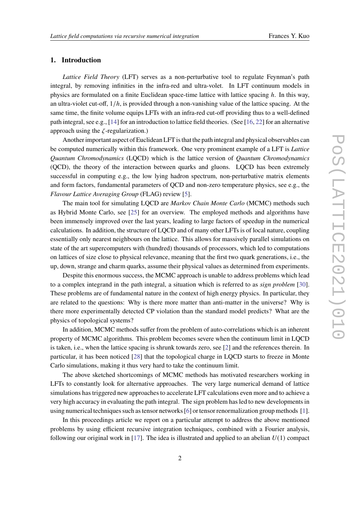# **1. Introduction**

*Lattice Field Theory* (LFT) serves as a non-perturbative tool to regulate Feynman's path integral, by removing infinities in the infra-red and ultra-volet. In LFT continuum models in physics are formulated on a finite Euclidean space-time lattice with lattice spacing  $h$ . In this way, an ultra-violet cut-off,  $1/h$ , is provided through a non-vanishing value of the lattice spacing. At the same time, the finite volume equips LFTs with an infra-red cut-off providing thus to a well-defined path integral, see e.g., [\[14\]](#page-13-1) for an introduction to lattice field theories. (See [\[16,](#page-13-2) [22\]](#page-14-0) for an alternative approach using the  $\zeta$ -regularization.)

Another important aspect of Euclidean LFT is that the path integral and physical observables can be computed numerically within this framework. One very prominent example of a LFT is *Lattice Quantum Chromodynamics* (LQCD) which is the lattice version of *Quantum Chromodynamics* (QCD), the theory of the interaction between quarks and gluons. LQCD has been extremely successful in computing e.g., the low lying hadron spectrum, non-perturbative matrix elements and form factors, fundamental parameters of QCD and non-zero temperature physics, see e.g., the *Flavour Lattice Averaging Group* (FLAG) review [\[5\]](#page-12-0).

The main tool for simulating LQCD are *Markov Chain Monte Carlo* (MCMC) methods such as Hybrid Monte Carlo, see [\[25\]](#page-14-1) for an overview. The employed methods and algorithms have been immensely improved over the last years, leading to large factors of speedup in the numerical calculations. In addition, the structure of LQCD and of many other LFTs is of local nature, coupling essentially only nearest neighbours on the lattice. This allows for massively parallel simulations on state of the art supercomputers with (hundred) thousands of processors, which led to computations on lattices of size close to physical relevance, meaning that the first two quark generations, i.e., the up, down, strange and charm quarks, assume their physical values as determined from experiments.

Despite this enormous success, the MCMC approach is unable to address problems which lead to a complex integrand in the path integral, a situation which is referred to as *sign problem* [\[30\]](#page-14-2). These problems are of fundamental nature in the context of high energy physics. In particular, they are related to the questions: Why is there more matter than anti-matter in the universe? Why is there more experimentally detected CP violation than the standard model predicts? What are the physics of topological systems?

In addition, MCMC methods suffer from the problem of auto-correlations which is an inherent property of MCMC algorithms. This problem becomes severe when the continuum limit in LQCD is taken, i.e., when the lattice spacing is shrunk towards zero, see [\[2\]](#page-12-1) and the references therein. In particular, it has been noticed [\[28\]](#page-14-3) that the topological charge in LQCD starts to freeze in Monte Carlo simulations, making it thus very hard to take the continuum limit.

The above sketched shortcomings of MCMC methods has motivated researchers working in LFTs to constantly look for alternative approaches. The very large numerical demand of lattice simulations has triggered new approaches to accelerate LFT calculations even more and to achieve a very high accuracy in evaluating the path integral. The sign problem has led to new developments in using numerical techniques such as tensor networks [\[6\]](#page-12-2) or tensor renormalization group methods [\[1\]](#page-12-3).

In this proceedings article we report on a particular attempt to address the above mentioned problems by using efficient recursive integration techniques, combined with a Fourier analysis, following our original work in [\[17\]](#page-13-0). The idea is illustrated and applied to an abelian *U*(1) compact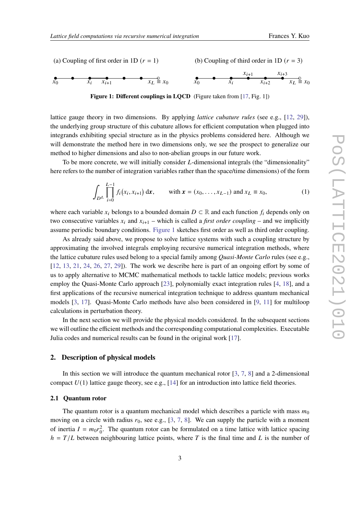<span id="page-2-0"></span>

**Figure 1: Different couplings in LOCD** (Figure taken from [\[17,](#page-13-0) Fig. 1])

lattice gauge theory in two dimensions. By applying *lattice cubature rules* (see e.g., [\[12,](#page-13-3) [29\]](#page-14-4)), the underlying group structure of this cubature allows for efficient computation when plugged into integrands exhibiting special structure as in the physics problems considered here. Although we will demonstrate the method here in two dimensions only, we see the prospect to generalize our method to higher dimensions and also to non-abelian groups in our future work.

To be more concrete, we will initially consider  $L$ -dimensional integrals (the "dimensionality" here refers to the number of integration variables rather than the space/time dimensions) of the form

<span id="page-2-1"></span>
$$
\int_{D^{L}} \prod_{i=0}^{L-1} f_i(x_i, x_{i+1}) dx, \quad \text{with } \mathbf{x} = (x_0, \dots, x_{L-1}) \text{ and } x_L \equiv x_0,
$$
\n(1)

where each variable  $x_i$  belongs to a bounded domain  $D \subset \mathbb{R}$  and each function  $f_i$  depends only on two consecutive variables  $x_i$  and  $x_{i+1}$  – which is called a *first order coupling* – and we implicitly assume periodic boundary conditions. [Figure 1](#page-2-0) sketches first order as well as third order coupling.

As already said above, we propose to solve lattice systems with such a coupling structure by approximating the involved integrals employing recursive numerical integration methods, where the lattice cubature rules used belong to a special family among *Quasi-Monte Carlo* rules (see e.g., [\[12,](#page-13-3) [13,](#page-13-4) [21,](#page-13-5) [24,](#page-14-5) [26,](#page-14-6) [27,](#page-14-7) [29\]](#page-14-4)). The work we describe here is part of an ongoing effort by some of us to apply alternative to MCMC mathematical methods to tackle lattice models; previous works employ the Quasi-Monte Carlo approach [\[23\]](#page-14-8), polynomially exact integration rules [\[4,](#page-12-4) [18\]](#page-13-6), and a first applications of the recursive numerical integration technique to address quantum mechanical models [\[3,](#page-12-5) [17\]](#page-13-0). Quasi-Monte Carlo methods have also been considered in [\[9,](#page-13-7) [11\]](#page-13-8) for multiloop calculations in perturbation theory.

In the next section we will provide the physical models considered. In the subsequent sections we will outline the efficient methods and the corresponding computational complexities. Executable Julia codes and numerical results can be found in the original work [\[17\]](#page-13-0).

#### **2. Description of physical models**

In this section we will introduce the quantum mechanical rotor  $[3, 7, 8]$  $[3, 7, 8]$  $[3, 7, 8]$  $[3, 7, 8]$  $[3, 7, 8]$  and a 2-dimensional compact  $U(1)$  lattice gauge theory, see e.g., [\[14\]](#page-13-1) for an introduction into lattice field theories.

#### **2.1 Quantum rotor**

The quantum rotor is a quantum mechanical model which describes a particle with mass  $m_0$ moving on a circle with radius  $r_0$ , see e.g., [\[3,](#page-12-5) [7,](#page-13-9) [8\]](#page-13-10). We can supply the particle with a moment of inertia  $I = m_0 r_0^2$ . The quantum rotor can be formulated on a time lattice with lattice spacing  $h = T/L$  between neighbouring lattice points, where T is the final time and L is the number of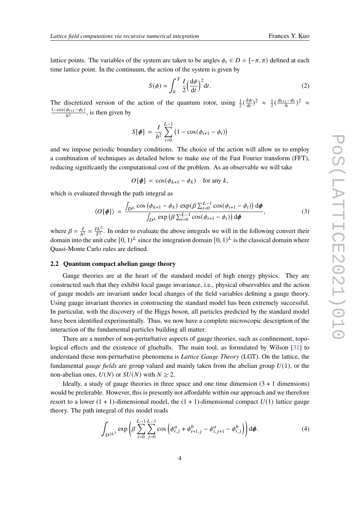lattice points. The variables of the system are taken to be angles  $\phi_i \in D = [-\pi, \pi)$  defined at each time lattice point. In the continuum, the action of the system is given by

<span id="page-3-1"></span>
$$
S(\phi) = \int_0^T \frac{I}{2} \left(\frac{d\phi}{dt}\right)^2 dt.
$$
 (2)

The discretized version of the action of the quantum rotor, using  $\frac{1}{2}(\frac{d\phi}{dt})$  $\frac{d\phi}{dt}$ )<sup>2</sup>  $\approx \frac{1}{2}$  $\frac{1}{2}(\frac{\phi_{i+1}-\phi_i}{h})^2 \approx$  $\frac{1-\cos(\phi_{i+1}-\phi_i)}{h^2}$ , is then given by

$$
S[\phi] = \frac{I}{h^2} \sum_{i=0}^{L-1} (1 - \cos(\phi_{i+1} - \phi_i))
$$

and we impose periodic boundary conditions. The choice of the action will allow us to employ a combination of techniques as detailed below to make use of the Fast Fourier transform (FFT), reducing significantly the computational cost of the problem. As an observable we will take

<span id="page-3-0"></span>
$$
O[\phi] = \cos(\phi_{k+1} - \phi_k) \quad \text{for any } k,
$$

which is evaluated through the path integral as

$$
\langle O[\phi] \rangle = \frac{\int_{D^L} \cos(\phi_{k+1} - \phi_k) \exp(\beta \sum_{i=0}^{L-1} \cos(\phi_{i+1} - \phi_i)) d\phi}{\int_{D^L} \exp(\beta \sum_{i=0}^{L-1} \cos(\phi_{i+1} - \phi_i)) d\phi}, \tag{3}
$$

where  $\beta = \frac{I}{h}$  $\frac{I}{h^2} = \frac{IL^2}{T^2}$  $\frac{2L^2}{T^2}$ . In order to evaluate the above integrals we will in the following convert their domain into the unit cube  $[0, 1)^L$  since the integration domain  $[0, 1)^L$  is the classical domain where Quasi-Monte Carlo rules are defined.

#### **2.2 Quantum compact abelian gauge theory**

Gauge theories are at the heart of the standard model of high energy physics. They are constructed such that they exhibit local gauge invariance, i.e., physical observables and the action of gauge models are invariant under local changes of the field variables defining a gauge theory. Using gauge invariant theories in constructing the standard model has been extremely successful. In particular, with the discovery of the Higgs boson, all particles predicted by the standard model have been identified experimentally. Thus, we now have a complete microscopic description of the interaction of the fundamental particles building all matter.

There are a number of non-perturbative aspects of gauge theories, such as confinement, topological effects and the existence of glueballs. The main tool, as formulated by Wilson [\[31\]](#page-14-9) to understand these non-perturbative phenomena is *Lattice Gauge Theory* (LGT). On the lattice, the fundamental *gauge fields* are group valued and mainly taken from the abelian group *U*(1), or the non-abelian ones,  $U(N)$  or  $SU(N)$  with  $N \geq 2$ .

Ideally, a study of gauge theories in three space and one time dimension  $(3 + 1)$  dimensions) would be preferable. However, this is presently not affordable within our approach and we therefore resort to a lower  $(1 + 1)$ -dimensional model, the  $(1 + 1)$ -dimensional compact  $U(1)$  lattice gauge theory. The path integral of this model reads

<span id="page-3-2"></span>
$$
\int_{D^{2L^2}} \exp\left(\beta \sum_{i=0}^{L-1} \sum_{j=0}^{L-1} \cos\left(\phi_{i,j}^a + \phi_{i+1,j}^b - \phi_{i,j+1}^a - \phi_{i,j}^b\right)\right) d\phi.
$$
 (4)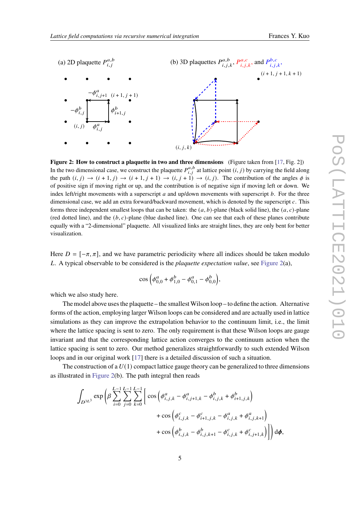<span id="page-4-0"></span>

**Figure 2: How to construct a plaquette in two and three dimensions** (Figure taken from [\[17,](#page-13-0) Fig. 2]) In the two dimensional case, we construct the plaquette  $P_{i,j}^{a,b}$  at lattice point  $(i, j)$  by carrying the field along the path  $(i, j) \rightarrow (i + 1, j) \rightarrow (i + 1, j + 1) \rightarrow (i, j + 1) \rightarrow (i, j)$ . The contribution of the angles  $\phi$  is of positive sign if moving right or up, and the contribution is of negative sign if moving left or down. We index left/right movements with a superscript  $a$  and up/down movements with superscript  $b$ . For the three dimensional case, we add an extra forward/backward movement, which is denoted by the superscript  $c$ . This forms three independent smallest loops that can be taken: the  $(a, b)$ -plane (black solid line), the  $(a, c)$ -plane (red dotted line), and the  $(b, c)$ -plane (blue dashed line). One can see that each of these planes contribute equally with a "2-dimensional" plaquette. All visualized links are straight lines, they are only bent for better visualization.

Here  $D = [-\pi, \pi]$ , and we have parametric periodicity where all indices should be taken modulo . A typical observable to be considered is the *plaquette expectation value*, see [Figure 2\(](#page-4-0)a),

$$
\cos\Big(\phi_{0,0}^a + \phi_{1,0}^b - \phi_{0,1}^a - \phi_{0,0}^b\Big),\,
$$

which we also study here.

The model above uses the plaquette – the smallest Wilson loop – to define the action. Alternative forms of the action, employing larger Wilson loops can be considered and are actually used in lattice simulations as they can improve the extrapolation behavior to the continuum limit, i.e., the limit where the lattice spacing is sent to zero. The only requirement is that these Wilson loops are gauge invariant and that the corresponding lattice action converges to the continuum action when the lattice spacing is sent to zero. Our method generalizes straightforwardly to such extended Wilson loops and in our original work [\[17\]](#page-13-0) there is a detailed discussion of such a situation.

The construction of a  $U(1)$  compact lattice gauge theory can be generalized to three dimensions as illustrated in [Figure 2\(](#page-4-0)b). The path integral then reads

$$
\int_{D^{3L^3}} \exp \left( \beta \sum_{i=0}^{L-1} \sum_{j=0}^{L-1} \sum_{k=0}^{L-1} \left[ \cos \left( \phi_{i,j,k}^a - \phi_{i,j+1,k}^a - \phi_{i,j,k}^b + \phi_{i+1,j,k}^b \right) \right. \right. \\ \left. + \cos \left( \phi_{i,j,k}^c - \phi_{i+1,j,k}^c - \phi_{i,j,k}^a + \phi_{i,j,k+1}^a \right) \right. \\ \left. + \cos \left( \phi_{i,j,k}^b - \phi_{i,j,k+1}^b - \phi_{i,j,k}^c + \phi_{i,j+1,k}^c \right) \right) \right] \text{d}\phi,
$$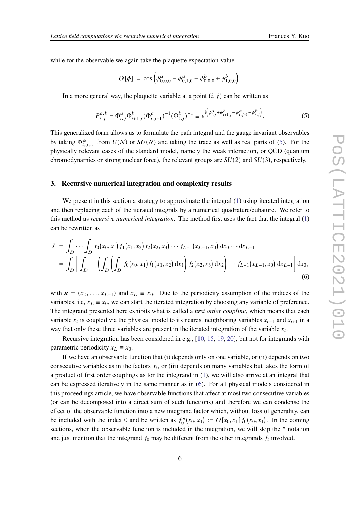while for the observable we again take the plaquette expectation value

<span id="page-5-0"></span>
$$
O[\phi] = \cos \left( \phi_{0,0,0}^a - \phi_{0,1,0}^a - \phi_{0,0,0}^b + \phi_{1,0,0}^b \right).
$$

In a more general way, the plaquette variable at a point  $(i, j)$  can be written as

$$
P_{i,j}^{a,b} = \Phi_{i,j}^a \Phi_{i+1,j}^b (\Phi_{i,j+1}^a)^{-1} (\Phi_{i,j}^b)^{-1} \equiv e^{i \left( \phi_{i,j}^a + \phi_{i+1,j}^b - \phi_{i,j+1}^a - \phi_{i,j}^b \right)}.
$$
 (5)

This generalized form allows us to formulate the path integral and the gauge invariant observables by taking  $\Phi_{i,j}^{\alpha}$  from  $U(N)$  or  $SU(N)$  and taking the trace as well as real parts of [\(5\)](#page-5-0). For the physically relevant cases of the standard model, namely the weak interaction, or QCD (quantum chromodynamics or strong nuclear force), the relevant groups are *SU*(2) and *SU*(3), respectively.

# **3. Recursive numerical integration and complexity results**

We present in this section a strategy to approximate the integral [\(1\)](#page-2-1) using iterated integration and then replacing each of the iterated integrals by a numerical quadrature/cubature. We refer to this method as *recursive numerical integration*. The method first uses the fact that the integral [\(1\)](#page-2-1) can be rewritten as

$$
I = \int_D \cdots \int_D f_0(x_0, x_1) f_1(x_1, x_2) f_2(x_2, x_3) \cdots f_{L-1}(x_{L-1}, x_0) dx_0 \cdots dx_{L-1}
$$
  
= 
$$
\int_D \left[ \int_D \cdots \left( \int_D \left( \int_D f_0(x_0, x_1) f_1(x_1, x_2) dx_1 \right) f_2(x_2, x_3) dx_2 \right) \cdots f_{L-1}(x_{L-1}, x_0) dx_{L-1} \right] dx_0,
$$
  
(6)

<span id="page-5-1"></span>with  $\mathbf{x} = (x_0, \dots, x_{L-1})$  and  $x_L \equiv x_0$ . Due to the periodicity assumption of the indices of the variables, i.e,  $x_L \equiv x_0$ , we can start the iterated integration by choosing any variable of preference. The integrand presented here exhibits what is called a *first order coupling*, which means that each variable  $x_i$  is coupled via the physical model to its nearest neighboring variables  $x_{i-1}$  and  $x_{i+1}$  in a way that only these three variables are present in the iterated integration of the variable  $x_i$ .

Recursive integration has been considered in e.g., [\[10,](#page-13-11) [15,](#page-13-12) [19,](#page-13-13) [20\]](#page-13-14), but not for integrands with parametric periodicity  $x_L \equiv x_0$ .

If we have an observable function that (i) depends only on one variable, or (ii) depends on two consecutive variables as in the factors  $f_i$ , or (iii) depends on many variables but takes the form of a product of first order couplings as for the integrand in [\(1\)](#page-2-1), we will also arrive at an integral that can be expressed iteratively in the same manner as in [\(6\)](#page-5-1). For all physical models considered in this proceedings article, we have observable functions that affect at most two consecutive variables (or can be decomposed into a direct sum of such functions) and therefore we can condense the effect of the observable function into a new integrand factor which, without loss of generality, can be included with the index 0 and be written as  $f_0^*$  $C_0^{\star}(x_0, x_1) := O[x_0, x_1] f_0(x_0, x_1)$ . In the coming sections, when the observable function is included in the integration, we will skip the  $\star$  notation and just mention that the integrand  $f_0$  may be different from the other integrands  $f_i$  involved.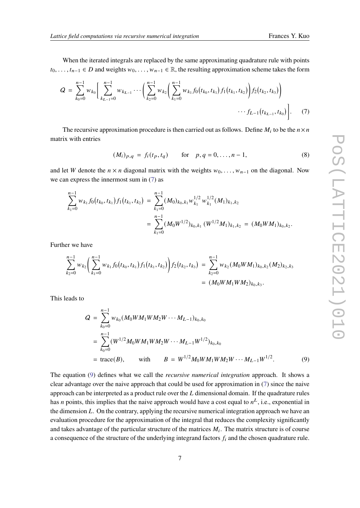When the iterated integrals are replaced by the same approximating quadrature rule with points  $t_0, \ldots, t_{n-1} \in D$  and weights  $w_0, \ldots, w_{n-1} \in \mathbb{R}$ , the resulting approximation scheme takes the form

$$
Q = \sum_{k_0=0}^{n-1} w_{k_0} \left[ \sum_{k_{L-1}=0}^{n-1} w_{k_{L-1}} \cdots \left( \sum_{k_2=0}^{n-1} w_{k_2} \left( \sum_{k_1=0}^{n-1} w_{k_1} f_0(t_{k_0}, t_{k_1}) f_1(t_{k_1}, t_{k_2}) \right) f_2(t_{k_2}, t_{k_3}) \right) \cdots f_{L-1}(t_{k_{L-1}}, t_{k_0}) \right].
$$
 (7)

The recursive approximation procedure is then carried out as follows. Define  $M_i$  to be the  $n \times n$ matrix with entries

<span id="page-6-2"></span><span id="page-6-0"></span>
$$
(M_i)_{p,q} = f_i(t_p, t_q) \quad \text{for} \quad p, q = 0, \dots, n-1,
$$
 (8)

and let W denote the  $n \times n$  diagonal matrix with the weights  $w_0, \ldots, w_{n-1}$  on the diagonal. Now we can express the innermost sum in [\(7\)](#page-6-0) as

$$
\sum_{k_1=0}^{n-1} w_{k_1} f_0(t_{k_0}, t_{k_1}) f_1(t_{k_1}, t_{k_2}) = \sum_{k_1=0}^{n-1} (M_0)_{k_0, k_1} w_{k_1}^{1/2} w_{k_1}^{1/2} (M_1)_{k_1, k_2}
$$
  
= 
$$
\sum_{k_1=0}^{n-1} (M_0 W^{1/2})_{k_0, k_1} (W^{1/2} M_1)_{k_1, k_2} = (M_0 W M_1)_{k_0, k_2}.
$$

Further we have

$$
\sum_{k_2=0}^{n-1} w_{k_2} \left( \sum_{k_1=0}^{n-1} w_{k_1} f_0(t_{k_0}, t_{k_1}) f_1(t_{k_1}, t_{k_2}) \right) f_2(t_{k_2}, t_{k_3}) = \sum_{k_2=0}^{n-1} w_{k_2} (M_0 W M_1)_{k_0, k_2} (M_2)_{k_2, k_3}
$$
  
= 
$$
(M_0 W M_1 W M_2)_{k_0, k_3}.
$$

This leads to

<span id="page-6-1"></span>
$$
Q = \sum_{k_0=0}^{n-1} w_{k_0} (M_0 W M_1 W M_2 W \cdots M_{L-1})_{k_0, k_0}
$$
  
= 
$$
\sum_{k_0=0}^{n-1} (W^{1/2} M_0 W M_1 W M_2 W \cdots M_{L-1} W^{1/2})_{k_0, k_0}
$$
  
= 
$$
trace(B), \qquad \text{with} \qquad B = W^{1/2} M_0 W M_1 W M_2 W \cdots M_{L-1} W^{1/2}.
$$
 (9)

The equation [\(9\)](#page-6-1) defines what we call the *recursive numerical integration* approach. It shows a clear advantage over the naive approach that could be used for approximation in [\(7\)](#page-6-0) since the naive approach can be interpreted as a product rule over the  $L$  dimensional domain. If the quadrature rules has *n* points, this implies that the naive approach would have a cost equal to  $n<sup>L</sup>$ , i.e., exponential in the dimension  $L$ . On the contrary, applying the recursive numerical integration approach we have an evaluation procedure for the approximation of the integral that reduces the complexity significantly and takes advantage of the particular structure of the matrices  $M_i$ . The matrix structure is of course a consequence of the structure of the underlying integrand factors  $f_i$  and the chosen quadrature rule.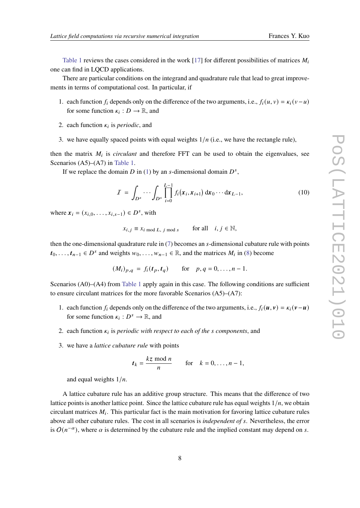[Table 1](#page-8-0) reviews the cases considered in the work [\[17\]](#page-13-0) for different possibilities of matrices  $M_i$ one can find in LQCD applications.

There are particular conditions on the integrand and quadrature rule that lead to great improvements in terms of computational cost. In particular, if

- 1. each function  $f_i$  depends only on the difference of the two arguments, i.e.,  $f_i(u, v) = \kappa_i(v u)$ for some function  $\kappa_i : D \to \mathbb{R}$ , and
- 2. each function  $\kappa_i$  is *periodic*, and
- 3. we have equally spaced points with equal weights  $1/n$  (i.e., we have the rectangle rule),

then the matrix  $M_i$  is *circulant* and therefore FFT can be used to obtain the eigenvalues, see Scenarios (A5)–(A7) in [Table 1.](#page-8-0)

If we replace the domain D in [\(1\)](#page-2-1) by an s-dimensional domain  $D<sup>s</sup>$ ,

$$
I = \int_{D^s} \cdots \int_{D^s} \prod_{i=0}^{L-1} f_i(x_i, x_{i+1}) dx_0 \cdots dx_{L-1},
$$
 (10)

where  $x_i = (x_{i,0}, \dots, x_{i,s-1}) \in D^s$ , with

<span id="page-7-0"></span>
$$
x_{i,j} \equiv x_{i \mod L, j \mod s} \quad \text{for all} \quad i, j \in \mathbb{N},
$$

then the one-dimensional quadrature rule in  $(7)$  becomes an s-dimensional cubature rule with points  $t_0, \ldots, t_{n-1} \in D^s$  and weights  $w_0, \ldots, w_{n-1} \in \mathbb{R}$ , and the matrices  $M_i$  in [\(8\)](#page-6-2) become

$$
(M_i)_{p,q} = f_i(t_p, t_q)
$$
 for  $p, q = 0, ..., n-1$ .

Scenarios (A0)–(A4) from [Table 1](#page-8-0) apply again in this case. The following conditions are sufficient to ensure circulant matrices for the more favorable Scenarios (A5)–(A7):

- 1. each function  $f_i$  depends only on the difference of the two arguments, i.e.,  $f_i(u, v) = \kappa_i(v u)$ for some function  $\kappa_i : D^s \to \mathbb{R}$ , and
- 2. each function  $\kappa_i$  is *periodic with respect to each of the s components*, and
- 3. we have a *lattice cubature rule* with points

$$
t_k = \frac{kz \mod n}{n} \quad \text{for} \quad k = 0, \ldots, n-1,
$$

and equal weights  $1/n$ .

A lattice cubature rule has an additive group structure. This means that the difference of two lattice points is another lattice point. Since the lattice cubature rule has equal weights  $1/n$ , we obtain circulant matrices  $M_i$ . This particular fact is the main motivation for favoring lattice cubature rules above all other cubature rules. The cost in all scenarios is *independent of* . Nevertheless, the error is  $O(n^{-\alpha})$ , where  $\alpha$  is determined by the cubature rule and the implied constant may depend on s.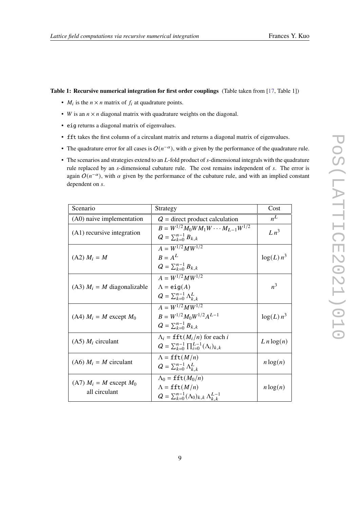#### <span id="page-8-0"></span>**Table 1: Recursive numerical integration for first order couplings** (Table taken from [\[17,](#page-13-0) Table 1])

- $M_i$  is the  $n \times n$  matrix of  $f_i$  at quadrature points.
- *W* is an  $n \times n$  diagonal matrix with quadrature weights on the diagonal.
- eig returns a diagonal matrix of eigenvalues.
- fft takes the first column of a circulant matrix and returns a diagonal matrix of eigenvalues.
- The quadrature error for all cases is  $O(n^{-\alpha})$ , with  $\alpha$  given by the performance of the quadrature rule.
- $\bullet$  The scenarios and strategies extend to an  $L$ -fold product of s-dimensional integrals with the quadrature rule replaced by an s-dimensional cubature rule. The cost remains independent of s. The error is again  $O(n^{-\alpha})$ , with  $\alpha$  given by the performance of the cubature rule, and with an implied constant dependent on s.

| Scenario                                       | Strategy                                                                                                                           | Cost          |
|------------------------------------------------|------------------------------------------------------------------------------------------------------------------------------------|---------------|
| (A0) naive implementation                      | $Q =$ direct product calculation                                                                                                   | $n^L$         |
| $(A1)$ recursive integration                   | $B = W^{1/2} M_0 W M_1 W \cdots M_{L-1} W^{1/2}$<br>$Q = \sum_{k=0}^{n-1} B_{k,k}$                                                 | $Ln^3$        |
| $(A2) M_i = M$                                 | $A = W^{1/2} M W^{1/2}$<br>$R = A^L$<br>$Q = \sum_{k=0}^{n-1} B_{k,k}$                                                             | $log(L) n^3$  |
| $(A3)$ $M_i = M$ diagonalizable                | $A = W^{1/2} M W^{1/2}$<br>$\Lambda = eig(A)$<br>$Q = \sum_{k=0}^{n-1} \Lambda_{k,k}^L$                                            | $n^3$         |
| $(A4)$ $M_i = M$ except $M_0$                  | $A = W^{1/2} M W^{1/2}$<br>$B = W^{1/2} M_0 W^{1/2} A^{L-1}$<br>$Q = \sum_{k=0}^{n-1} B_{k,k}$                                     | $log(L) n^3$  |
| $(A5)$ $M_i$ circulant                         | $\Lambda_i = \texttt{fft}(M_i/n)$ for each i<br>$Q = \sum_{k=0}^{n-1} \prod_{i=0}^{L-1} (\Lambda_i)_{k,k}$                         | $L n \log(n)$ |
| $(A6)$ $M_i = M$ circulant                     | $\Lambda = \texttt{fft}(M/n)$<br>$Q = \sum_{k=0}^{n-1} \Lambda_{k,k}^L$                                                            | $n \log(n)$   |
| $(A7)$ $M_i = M$ except $M_0$<br>all circulant | $\Lambda_0 = \texttt{fft}(M_0/n)$<br>$\Lambda = \texttt{fft}(M/n)$<br>$Q = \sum_{k=0}^{n-1} (\Lambda_0)_{k,k} \Lambda_{k,k}^{L-1}$ | $n \log(n)$   |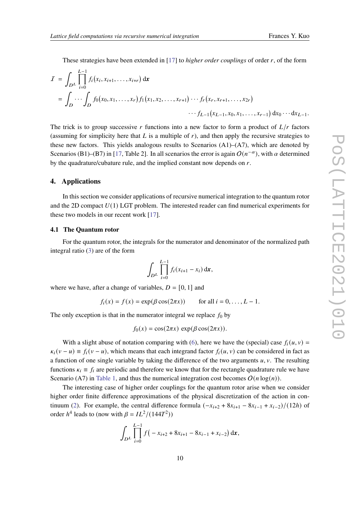These strategies have been extended in [\[17\]](#page-13-0) to *higher order couplings* of order  $r$ , of the form

$$
I = \int_{D^{L}} \prod_{i=0}^{L-1} f_i(x_i, x_{i+1}, \dots, x_{i+r}) dx
$$
  
= 
$$
\int_{D} \cdots \int_{D} f_0(x_0, x_1, \dots, x_r) f_1(x_1, x_2, \dots, x_{r+1}) \cdots f_r(x_r, x_{r+1}, \dots, x_{2r}) \cdots f_{L-1}(x_{L-1}, x_0, x_1, \dots, x_{r-1}) dx_0 \cdots dx_{L-1}.
$$

The trick is to group successive r functions into a new factor to form a product of  $L/r$  factors (assuming for simplicity here that L is a multiple of  $r$ ), and then apply the recursive strategies to these new factors. This yields analogous results to Scenarios  $(A1)$ – $(A7)$ , which are denoted by Scenarios (B1)–(B7) in [\[17,](#page-13-0) Table 2]. In all scenarios the error is again  $O(n^{-\alpha})$ , with  $\alpha$  determined by the quadrature/cubature rule, and the implied constant now depends on  $r$ .

## **4. Applications**

In this section we consider applications of recursive numerical integration to the quantum rotor and the 2D compact *U*(1) LGT problem. The interested reader can find numerical experiments for these two models in our recent work [\[17\]](#page-13-0).

#### **4.1 The Quantum rotor**

For the quantum rotor, the integrals for the numerator and denominator of the normalized path integral ratio [\(3\)](#page-3-0) are of the form

$$
\int_{D^L} \prod_{i=0}^{L-1} f_i(x_{i+1} - x_i) \, \mathrm{d} \mathbf{x},
$$

where we have, after a change of variables,  $D = [0, 1]$  and

$$
f_i(x) = f(x) = \exp(\beta \cos(2\pi x)) \quad \text{for all } i = 0, \dots, L-1.
$$

The only exception is that in the numerator integral we replace  $f_0$  by

$$
f_0(x) = \cos(2\pi x) \, \exp(\beta \cos(2\pi x)).
$$

With a slight abuse of notation comparing with [\(6\)](#page-5-1), here we have the (special) case  $f_i(u, v)$  =  $\kappa_i(v - u) \equiv f_i(v - u)$ , which means that each integrand factor  $f_i(u, v)$  can be considered in fact as a function of one single variable by taking the difference of the two arguments  $u, v$ . The resulting functions  $\kappa_i \equiv f_i$  are periodic and therefore we know that for the rectangle quadrature rule we have Scenario (A7) in [Table 1,](#page-8-0) and thus the numerical integration cost becomes  $O(n \log(n))$ .

The interesting case of higher order couplings for the quantum rotor arise when we consider higher order finite difference approximations of the physical discretization of the action in con-tinuum [\(2\)](#page-3-1). For example, the central difference formula  $(-x_{i+2} + 8x_{i+1} - 8x_{i-1} + x_{i-2})/(12h)$  of order  $h^4$  leads to (now with  $\beta = IL^2/(144T^2)$ )

$$
\int_{D^L} \prod_{i=0}^{L-1} f(-x_{i+2} + 8x_{i+1} - 8x_{i-1} + x_{i-2}) \, \mathrm{d}x,
$$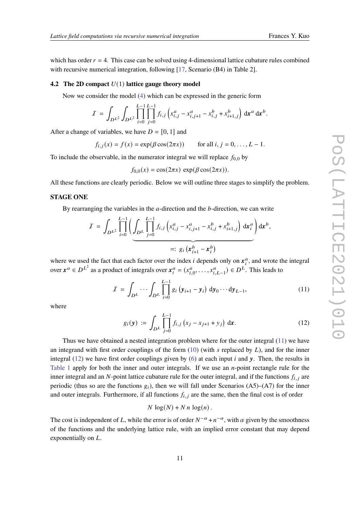which has order  $r = 4$ . This case can be solved using 4-dimensional lattice cubature rules combined with recursive numerical integration, following [\[17,](#page-13-0) Scenario (B4) in Table 2].

#### **4.2 The 2D compact** *U*(1) **lattice gauge theory model**

Now we consider the model [\(4\)](#page-3-2) which can be expressed in the generic form

$$
I = \int_{D^{L^2}} \int_{D^{L^2}} \prod_{i=0}^{L-1} \prod_{j=0}^{L-1} f_{i,j} \left( x_{i,j}^a - x_{i,j+1}^a - x_{i,j}^b + x_{i+1,j}^b \right) dx^a dx^b.
$$

After a change of variables, we have  $D = [0, 1]$  and

$$
f_{i,j}(x) = f(x) = \exp(\beta \cos(2\pi x))
$$
 for all  $i, j = 0, ..., L - 1$ .

To include the observable, in the numerator integral we will replace  $f_{0,0}$  by

$$
f_{0,0}(x) = \cos(2\pi x) \, \exp(\beta \cos(2\pi x)).
$$

All these functions are clearly periodic. Below we will outline three stages to simplify the problem.

# **STAGE ONE**

By rearranging the variables in the  $a$ -direction and the  $b$ -direction, we can write

$$
I = \int_{D^{L^2}} \prod_{i=0}^{L-1} \left( \underbrace{\int_{D^L} \prod_{j=0}^{L-1} f_{i,j} \left( x_{i,j}^a - x_{i,j+1}^a - x_{i,j}^b + x_{i+1,j}^b \right) dx_i^a} \right) dx^b,
$$
  
=:  $g_i \left( x_{i+1}^b - x_i^b \right)$ 

where we used the fact that each factor over the index *i* depends only on  $x_i^a$ , and wrote the integral over  $x^a \in D^{L^2}$  as a product of integrals over  $x_i^a = (x_{i,0}^a, \dots, x_{i,L-1}^a) \in D^L$ . This leads to

$$
I = \int_{D^L} \cdots \int_{D^L} \prod_{i=0}^{L-1} g_i (y_{i+1} - y_i) dy_0 \cdots dy_{L-1},
$$
 (11)

where

<span id="page-10-1"></span><span id="page-10-0"></span>
$$
g_i(\mathbf{y}) := \int_{D^L} \prod_{j=0}^{L-1} f_{i,j} \left( x_j - x_{j+1} + y_j \right) \, \mathrm{d}\mathbf{x} \,. \tag{12}
$$

Thus we have obtained a nested integration problem where for the outer integral [\(11\)](#page-10-0) we have an integrand with first order couplings of the form  $(10)$  (with s replaced by L), and for the inner integral [\(12\)](#page-10-1) we have first order couplings given by [\(6\)](#page-5-1) at each input  $i$  and  $y$ . Then, the results in [Table 1](#page-8-0) apply for both the inner and outer integrals. If we use an  $n$ -point rectangle rule for the inner integral and an N-point lattice cubature rule for the outer integral, and if the functions  $f_{i,j}$  are periodic (thus so are the functions  $g_i$ ), then we will fall under Scenarios (A5)–(A7) for the inner and outer integrals. Furthermore, if all functions  $f_{i,j}$  are the same, then the final cost is of order

$$
N \log(N) + N n \log(n).
$$

The cost is independent of L, while the error is of order  $N^{-\alpha} + n^{-\alpha}$ , with  $\alpha$  given by the smoothness of the functions and the underlying lattice rule, with an implied error constant that may depend exponentially on  $L$ .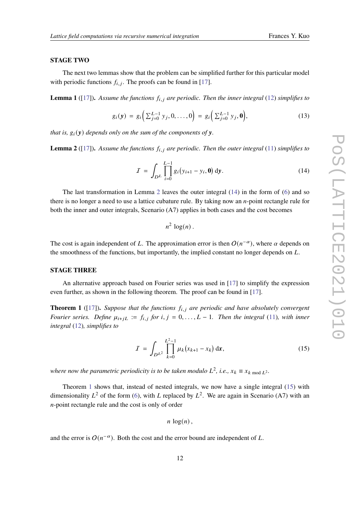#### **STAGE TWO**

The next two lemmas show that the problem can be simplified further for this particular model with periodic functions  $f_{i,j}$ . The proofs can be found in [\[17\]](#page-13-0).

**Lemma 1** ([\[17\]](#page-13-0)). Assume the functions  $f_{i,j}$  are periodic. Then the inner integral [\(12\)](#page-10-1) simplifies to

$$
g_i(\mathbf{y}) = g_i\left(\sum_{j=0}^{L-1} y_j, 0, \dots, 0\right) = g_i\left(\sum_{j=0}^{L-1} y_j, \mathbf{0}\right),\tag{13}
$$

*that is,*  $g_i(y)$  *depends only on the sum of the components of*  $y$ *.* 

<span id="page-11-0"></span>**Lemma 2** ([\[17\]](#page-13-0)). Assume the functions  $f_{i,j}$  are periodic. Then the outer integral [\(11\)](#page-10-0) simplifies to

$$
I = \int_{D^L} \prod_{i=0}^{L-1} g_i(y_{i+1} - y_i, \mathbf{0}) \, \mathrm{d}y. \tag{14}
$$

The last transformation in Lemma [2](#page-11-0) leaves the outer integral [\(14\)](#page-11-1) in the form of [\(6\)](#page-5-1) and so there is no longer a need to use a lattice cubature rule. By taking now an  $n$ -point rectangle rule for both the inner and outer integrals, Scenario (A7) applies in both cases and the cost becomes

<span id="page-11-1"></span>
$$
n^2 \log(n) .
$$

The cost is again independent of L. The approximation error is then  $O(n^{-\alpha})$ , where  $\alpha$  depends on the smoothness of the functions, but importantly, the implied constant no longer depends on  $L$ .

#### **STAGE THREE**

An alternative approach based on Fourier series was used in [\[17\]](#page-13-0) to simplify the expression even further, as shown in the following theorem. The proof can be found in [\[17\]](#page-13-0).

<span id="page-11-2"></span>**Theorem 1** ([\[17\]](#page-13-0)). Suppose that the functions  $f_{i,j}$  are periodic and have absolutely convergent *Fourier series.* Define  $\mu_{i+jL} := f_{i,j}$  for  $i, j = 0, \ldots, L-1$ . Then the integral [\(11\)](#page-10-0)*, with inner integral* [\(12\)](#page-10-1)*, simplifies to*

$$
I = \int_{D^{L^2}} \prod_{k=0}^{L^2-1} \mu_k (x_{k+1} - x_k) \, \mathrm{d}x,\tag{15}
$$

where now the parametric periodicity is to be taken modulo  $L^2$ , i.e.,  $x_k \equiv x_{k \bmod L^2}$ .

Theorem [1](#page-11-2) shows that, instead of nested integrals, we now have a single integral [\(15\)](#page-11-3) with dimensionality  $L^2$  of the form [\(6\)](#page-5-1), with L replaced by  $L^2$ . We are again in Scenario (A7) with an  $n$ -point rectangle rule and the cost is only of order

<span id="page-11-3"></span>
$$
n\log(n)\,
$$

and the error is  $O(n^{-\alpha})$ . Both the cost and the error bound are independent of L.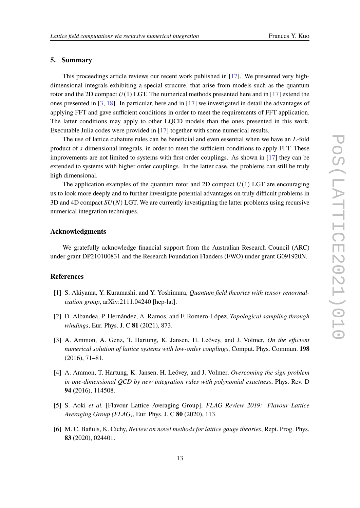# **5. Summary**

This proceedings article reviews our recent work published in [\[17\]](#page-13-0). We presented very highdimensional integrals exhibiting a special strucure, that arise from models such as the quantum rotor and the 2D compact  $U(1)$  LGT. The numerical methods presented here and in [\[17\]](#page-13-0) extend the ones presented in [\[3,](#page-12-5) [18\]](#page-13-6). In particular, here and in [\[17\]](#page-13-0) we investigated in detail the advantages of applying FFT and gave sufficient conditions in order to meet the requirements of FFT application. The latter conditions may apply to other LQCD models than the ones presented in this work. Executable Julia codes were provided in [\[17\]](#page-13-0) together with some numerical results.

The use of lattice cubature rules can be beneficial and even essential when we have an  $L$ -fold product of s-dimensional integrals, in order to meet the sufficient conditions to apply FFT. These improvements are not limited to systems with first order couplings. As shown in [\[17\]](#page-13-0) they can be extended to systems with higher order couplings. In the latter case, the problems can still be truly high dimensional.

The application examples of the quantum rotor and 2D compact  $U(1)$  LGT are encouraging us to look more deeply and to further investigate potential advantages on truly difficult problems in  $3D$  and  $4D$  compact  $SU(N)$  LGT. We are currently investigating the latter problems using recursive numerical integration techniques.

## **Acknowledgments**

We gratefully acknowledge financial support from the Australian Research Council (ARC) under grant DP210100831 and the Research Foundation Flanders (FWO) under grant G091920N.

# **References**

- <span id="page-12-3"></span>[1] S. Akiyama, Y. Kuramashi, and Y. Yoshimura, *Quantum field theories with tensor renormalization group*, arXiv:2111.04240 [hep-lat].
- <span id="page-12-1"></span>[2] D. Albandea, P. Hernández, A. Ramos, and F. Romero-López, *Topological sampling through windings*, Eur. Phys. J. C **81** (2021), 873.
- <span id="page-12-5"></span>[3] A. Ammon, A. Genz, T. Hartung, K. Jansen, H. Leövey, and J. Volmer, *On the efficient numerical solution of lattice systems with low-order couplings*, Comput. Phys. Commun. **198** (2016), 71–81.
- <span id="page-12-4"></span>[4] A. Ammon, T. Hartung, K. Jansen, H. Leövey, and J. Volmer, *Overcoming the sign problem in one-dimensional QCD by new integration rules with polynomial exactness*, Phys. Rev. D **94** (2016), 114508.
- <span id="page-12-0"></span>[5] S. Aoki *et al.* [Flavour Lattice Averaging Group], *FLAG Review 2019: Flavour Lattice Averaging Group (FLAG)*, Eur. Phys. J. C **80** (2020), 113.
- <span id="page-12-2"></span>[6] M. C. Bañuls, K. Cichy, *Review on novel methods for lattice gauge theories*, Rept. Prog. Phys. **83** (2020), 024401.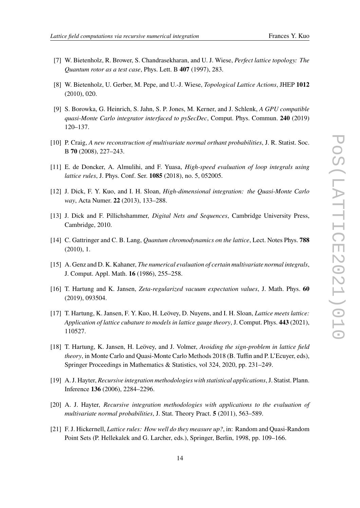- <span id="page-13-9"></span>[7] W. Bietenholz, R. Brower, S. Chandrasekharan, and U. J. Wiese, *Perfect lattice topology: The Quantum rotor as a test case*, Phys. Lett. B **407** (1997), 283.
- <span id="page-13-10"></span>[8] W. Bietenholz, U. Gerber, M. Pepe, and U.-J. Wiese, *Topological Lattice Actions*, JHEP **1012** (2010), 020.
- <span id="page-13-7"></span>[9] S. Borowka, G. Heinrich, S. Jahn, S. P. Jones, M. Kerner, and J. Schlenk, *A GPU compatible quasi-Monte Carlo integrator interfaced to pySecDec*, Comput. Phys. Commun. **240** (2019) 120–137.
- <span id="page-13-11"></span>[10] P. Craig, *A new reconstruction of multivariate normal orthant probabilities*, J. R. Statist. Soc. B **70** (2008), 227–243.
- <span id="page-13-8"></span>[11] E. de Doncker, A. Almulihi, and F. Yuasa, *High-speed evaluation of loop integrals using lattice rules*, J. Phys. Conf. Ser. **1085** (2018), no. 5, 052005.
- <span id="page-13-3"></span>[12] J. Dick, F. Y. Kuo, and I. H. Sloan, *High-dimensional integration: the Quasi-Monte Carlo way*, Acta Numer. **22** (2013), 133–288.
- <span id="page-13-4"></span>[13] J. Dick and F. Pillichshammer, *Digital Nets and Sequences*, Cambridge University Press, Cambridge, 2010.
- <span id="page-13-1"></span>[14] C. Gattringer and C. B. Lang, *Quantum chromodynamics on the lattice*, Lect. Notes Phys. **788** (2010), 1.
- <span id="page-13-12"></span>[15] A. Genz and D. K. Kahaner, *The numerical evaluation of certain multivariate normal integrals*, J. Comput. Appl. Math. **16** (1986), 255–258.
- <span id="page-13-2"></span>[16] T. Hartung and K. Jansen, *Zeta-regularized vacuum expectation values*, J. Math. Phys. **60** (2019), 093504.
- <span id="page-13-0"></span>[17] T. Hartung, K. Jansen, F. Y. Kuo, H. Leövey, D. Nuyens, and I. H. Sloan, *Lattice meets lattice: Application of lattice cubature to models in lattice gauge theory*, J. Comput. Phys. **443** (2021), 110527.
- <span id="page-13-6"></span>[18] T. Hartung, K. Jansen, H. Leövey, and J. Volmer, *Avoiding the sign-problem in lattice field theory*, in Monte Carlo and Quasi-Monte Carlo Methods 2018 (B. Tuffin and P. L'Ecuyer, eds), Springer Proceedings in Mathematics & Statistics, vol 324, 2020, pp. 231–249.
- <span id="page-13-13"></span>[19] A. J. Hayter, *Recursive integration methodologies with statistical applications*, J. Statist. Plann. Inference **136** (2006), 2284–2296.
- <span id="page-13-14"></span>[20] A. J. Hayter, *Recursive integration methodologies with applications to the evaluation of multivariate normal probabilities*, J. Stat. Theory Pract. **5** (2011), 563–589.
- <span id="page-13-5"></span>[21] F. J. Hickernell, *Lattice rules: How well do they measure up?*, in: Random and Quasi-Random Point Sets (P. Hellekalek and G. Larcher, eds.), Springer, Berlin, 1998, pp. 109–166.